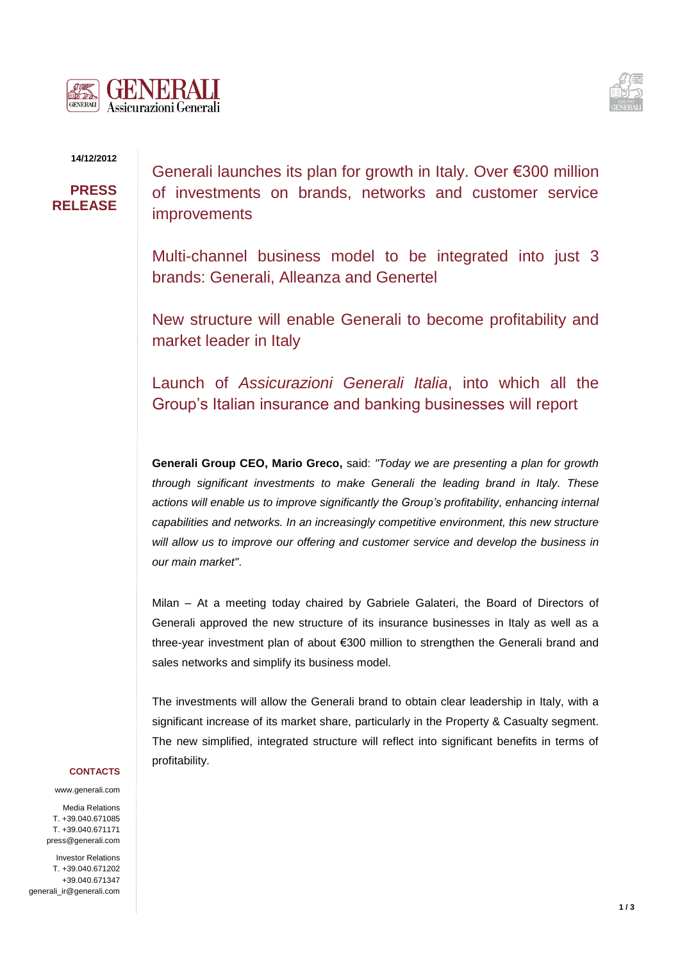



### **14/12/2012**

# **PRESS RELEASE**

Generali launches its plan for growth in Italy. Over €300 million of investments on brands, networks and customer service improvements

Multi-channel business model to be integrated into just 3 brands: Generali, Alleanza and Genertel

New structure will enable Generali to become profitability and market leader in Italy

Launch of *Assicurazioni Generali Italia*, into which all the Group's Italian insurance and banking businesses will report

**Generali Group CEO, Mario Greco,** said: *"Today we are presenting a plan for growth through significant investments to make Generali the leading brand in Italy. These actions will enable us to improve significantly the Group's profitability, enhancing internal capabilities and networks. In an increasingly competitive environment, this new structure will allow us to improve our offering and customer service and develop the business in our main market"*.

Milan – At a meeting today chaired by Gabriele Galateri, the Board of Directors of Generali approved the new structure of its insurance businesses in Italy as well as a three-year investment plan of about €300 million to strengthen the Generali brand and sales networks and simplify its business model.

The investments will allow the Generali brand to obtain clear leadership in Italy, with a significant increase of its market share, particularly in the Property & Casualty segment. The new simplified, integrated structure will reflect into significant benefits in terms of profitability.

### **CONTACTS**

www.generali.com

Media Relations T. +39.040.671085 T. +39.040.671171 press@generali.com

Investor Relations T. +39.040.671202 +39.040.671347 generali\_ir@generali.com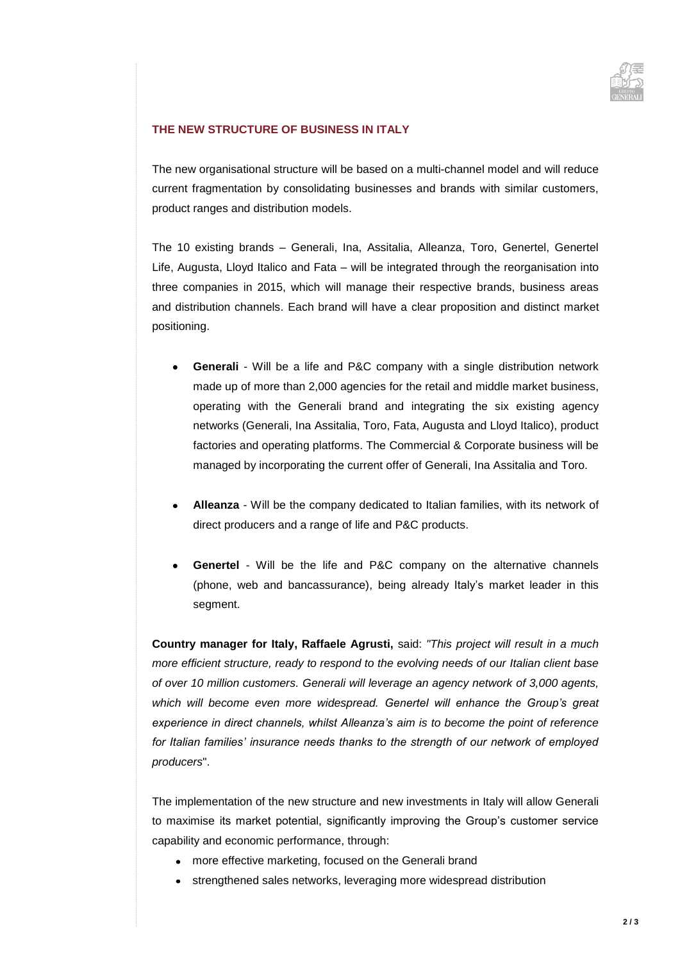

## **THE NEW STRUCTURE OF BUSINESS IN ITALY**

The new organisational structure will be based on a multi-channel model and will reduce current fragmentation by consolidating businesses and brands with similar customers, product ranges and distribution models.

The 10 existing brands – Generali, Ina, Assitalia, Alleanza, Toro, Genertel, Genertel Life, Augusta, Lloyd Italico and Fata – will be integrated through the reorganisation into three companies in 2015, which will manage their respective brands, business areas and distribution channels. Each brand will have a clear proposition and distinct market positioning.

- **Generali** Will be a life and P&C company with a single distribution network  $\bullet$ made up of more than 2,000 agencies for the retail and middle market business, operating with the Generali brand and integrating the six existing agency networks (Generali, Ina Assitalia, Toro, Fata, Augusta and Lloyd Italico), product factories and operating platforms. The Commercial & Corporate business will be managed by incorporating the current offer of Generali, Ina Assitalia and Toro.
- **Alleanza**  Will be the company dedicated to Italian families, with its network of direct producers and a range of life and P&C products.
- **Genertel**  Will be the life and P&C company on the alternative channels (phone, web and bancassurance), being already Italy's market leader in this segment.

**Country manager for Italy, Raffaele Agrusti,** said: *"This project will result in a much more efficient structure, ready to respond to the evolving needs of our Italian client base of over 10 million customers. Generali will leverage an agency network of 3,000 agents, which will become even more widespread. Genertel will enhance the Group's great experience in direct channels, whilst Alleanza's aim is to become the point of reference for Italian families' insurance needs thanks to the strength of our network of employed producers*".

The implementation of the new structure and new investments in Italy will allow Generali to maximise its market potential, significantly improving the Group's customer service capability and economic performance, through:

- more effective marketing, focused on the Generali brand
- strengthened sales networks, leveraging more widespread distribution